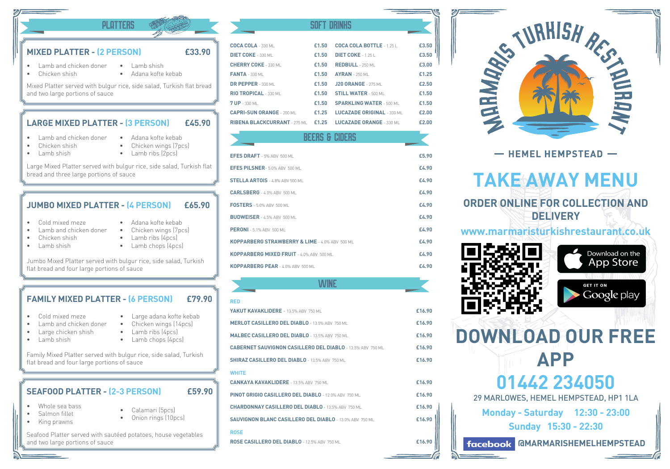# **MIXED PLATTER - (2 PERSON) £33.90**

- Lamb and chicken doner • Lamb shish
- Chicken shish
- Adana kofte kebab

PLATTERS SOFT DRINKS

Mixed Platter served with bulgur rice, side salad, Turkish flat bread and two large portions of sauce

### **LARGE MIXED PLATTER - (3 PERSON) £45.90**

- Lamb and chicken doner
- Chicken shish
- Lamb shish
- Adana kofte kebab • Chicken wings (7pcs)

• Lamb ribs (2pcs)

Large Mixed Platter served with bulgur rice, side salad, Turkish flat bread and three large portions of sauce

# **JUMBO MIXED PLATTER - (4 PERSON) £65.90**

- Cold mixed meze
- Lamb and chicken doner
- Chicken shish
- Lamb shish
- Chicken wings (7pcs) • Lamb ribs (4pcs)

• Adana kofte kebab

• Lamb chops (4pcs)

Jumbo Mixed Platter served with bulgur rice, side salad, Turkish flat bread and four large portions of sauce

#### **£79.90 FAMILY MIXED PLATTER - (6 PERSON)**

- Cold mixed meze
- Lamb and chicken doner
- Large chicken shish
- Lamb shish
- Chicken wings (14pcs) • Lamb ribs (4pcs)
- Lamb chops (4pcs)

Family Mixed Platter served with bulgur rice, side salad, Turkish flat bread and four large portions of sauce

### **SEAFOOD PLATTER - (2-3 PERSON) £59.90**

- Whole sea bass
- Salmon fillet
- King prawns
- Calamari (5pcs) • Onion rings (10pcs)
- 

Seafood Platter served with sautéed potatoes, house vegetables and two large portions of sauce

| <b>COCA COLA - 330 ML</b>        | £1.50 | <b>COCA COLA BOTTLE - 1.251</b>     | £3.50 |
|----------------------------------|-------|-------------------------------------|-------|
| <b>DIET COKE</b> - 330 ML        | £1.50 | <b>DIET COKE</b> - 1.25 L           | £3.50 |
| <b>CHERRY COKE - 330 ML</b>      | £1.50 | <b>REDBULL</b> - 250 ML             | £3.00 |
| <b>FANTA</b> - 330 ML            | £1.50 | $AYRAN - 250$ MI                    | £1.25 |
| DR PEPPER - 330 ML               | £1.50 | <b>J20 ORANGE - 275 ML</b>          | £2.50 |
| RIO TROPICAL - 330 ML            |       | <b>£1.50 STILL WATER - 500 MILL</b> | £1.50 |
| <b>7 UP</b> - 330 ML             | £1.50 | <b>SPARKLING WATER - 500 ML</b>     | £1.50 |
| <b>CAPRI-SUN ORANGE - 200 ML</b> | £1.25 | <b>LUCAZADE ORIGINAL - 330 MI</b>   | £2.00 |
|                                  |       |                                     | £2.00 |
|                                  |       |                                     |       |

# Beers & Ciders

| EFES DRAFT - 5% ABV 500 ML                     | £5.90 |
|------------------------------------------------|-------|
| EFES PILSNER- 5.0% ABV 500 ML                  | £4.90 |
| <b>STELLA ARTOIS</b> - 4.8% ABV 500 ML         | £4.90 |
| <b>CARLSBERG</b> - 4.0% ABV 500 ML             | £4.90 |
| <b>FOSTERS</b> - 5.0% ABV 500 ML               | £4.90 |
| <b>BUDWEISER - 4.5% ABV 500 ML</b>             | £4.90 |
| <b>PERONI</b> - 5.1% ABV 500 ML                | £4.90 |
| KOPPARBERG STRAWBERRY & LIME - 4.0% ABV 500 ML | £4.90 |
| KOPPARBERG MIXED FRUIT - 4.0% ABV 500 ML       | £4.90 |
| KOPPARBERG PEAR - 4.0% ABV 500 ML              | £4.90 |

# **WINE**

| <b>RED</b>                                                        |        |
|-------------------------------------------------------------------|--------|
| YAKUT KAVAKLIDERE - 13.5% ABV 750 MI                              | £16.90 |
| <b>MERLOT CASILLERO DEL DIABLO - 13.5% ABV 750 MI</b>             | £16.90 |
| <b>MALBEC CASILLERO DEL DIABLO - 13.5% ABV 750 ML</b>             | £16.90 |
| <b>CABERNET SAUVIGNON CASILLERO DEL DIABLO - 13.5% ABV 750 ML</b> | £16.90 |
| <b>SHIRAZ CASILLERO DEL DIABLO - 13.5% ABV 750 ML</b>             | £16.90 |
| WHITE                                                             |        |
| <b>CANKAYA KAVAKLIDERE - 13.5% ABV 750 ML</b>                     | £16.90 |
| PINOT GRIGIO CASILLERO DEL DIABLO - 12.0% ABV 750 ML              | £16.90 |
| <b>CHARDONNAY CASILLERO DEL DIABLO - 13.5% ABV 750 ML</b>         | £16.90 |
| <b>SAUVIGNON BLANC CASILLERO DEL DIABLO - 13.0% ABV 750 ML</b>    | £16.90 |
| <b>ROSE</b>                                                       |        |
| ROSE CASILLERO DEL DIABLO - 12.5% ABV 750 ML                      | £16.90 |



- HEMEL HEMPSTEAD -

# **TAKE AWAY MENU ORDER ONLINE FOR COLLECTION AND DELIVERY**

**www.marmaristurkishrestaurant.co.uk**





**01442 234050 DOWNLOAD OUR FREE APP**

29 MARLOWES, HEMEL HEMPSTEAD, HP1 1LA

**Monday - Saturday 12:30 - 23:00 Sunday 15:30 - 22:30**

**facebook GMARMARISHEMELHEMPSTEAD** 

• Large adana kofte kebab